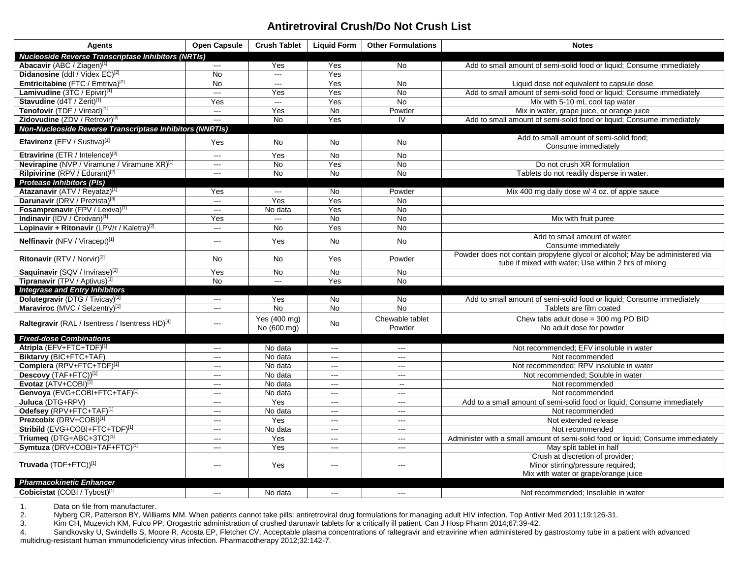## **Antiretroviral Crush/Do Not Crush List**

| Agents                                                      | <b>Open Capsule</b>      | <b>Crush Tablet</b>         | <b>Liquid Form</b> | <b>Other Formulations</b> | <b>Notes</b>                                                                                                                         |
|-------------------------------------------------------------|--------------------------|-----------------------------|--------------------|---------------------------|--------------------------------------------------------------------------------------------------------------------------------------|
| <b>Nucleoside Reverse Transcriptase Inhibitors (NRTIs)</b>  |                          |                             |                    |                           |                                                                                                                                      |
| Abacavir (ABC / Ziagen)[1]                                  | $\overline{\phantom{a}}$ | Yes                         | Yes                | <b>No</b>                 | Add to small amount of semi-solid food or liquid; Consume immediately                                                                |
| Didanosine (ddl / Videx EC) <sup>[2]</sup>                  | <b>No</b>                | $\sim$ $\sim$               | Yes                |                           |                                                                                                                                      |
| Emtricitabine (FTC / Emtriva) <sup>[2]</sup>                | <b>No</b>                | $\sim$                      | Yes                | No                        | Liquid dose not equivalent to capsule dose                                                                                           |
| Lamivudine (3TC / Epivir) <sup>[1]</sup>                    | $\sim$                   | Yes                         | Yes                | <b>No</b>                 | Add to small amount of semi-solid food or liquid; Consume immediately                                                                |
| Stavudine (d4T / Zerit)[1]                                  | Yes                      | $\overline{\phantom{a}}$    | Yes                | No                        | Mix with 5-10 mL cool tap water                                                                                                      |
| Tenofovir (TDF / Viread)[1]                                 | $\overline{\phantom{a}}$ | Yes                         | <b>No</b>          | Powder                    | Mix in water, grape juice, or orange juice                                                                                           |
| Zidovudine (ZDV / Retrovir) <sup>[2]</sup>                  | $\sim$                   | <b>No</b>                   | Yes                | IV                        | Add to small amount of semi-solid food or liquid; Consume immediately                                                                |
| Non-Nucleoside Reverse Transcriptase Inhibitors (NNRTIs)    |                          |                             |                    |                           |                                                                                                                                      |
| <b>Efavirenz</b> (EFV / Sustiva) <sup>[1]</sup>             | Yes                      | <b>No</b>                   | No                 | <b>No</b>                 | Add to small amount of semi-solid food;<br>Consume immediately                                                                       |
| Etravirine (ETR / Intelence) <sup>[2]</sup>                 | ---                      | Yes                         | <b>No</b>          | No                        |                                                                                                                                      |
| Nevirapine (NVP / Viramune / Viramune XR) <sup>[1]</sup>    | $\frac{1}{2}$            | <b>No</b>                   | Yes                | <b>No</b>                 | Do not crush XR formulation                                                                                                          |
| Rilpivirine (RPV / Edurant) <sup>[2]</sup>                  | $\frac{1}{2}$            | <b>No</b>                   | <b>No</b>          | <b>No</b>                 | Tablets do not readily disperse in water.                                                                                            |
| <b>Protease Inhibitors (PIs)</b>                            |                          |                             |                    |                           |                                                                                                                                      |
| Atazanavir (ATV / Reyataz)[1]                               | Yes                      | $\sim$                      | <b>No</b>          | Powder                    | Mix 400 mg daily dose w/ 4 oz. of apple sauce                                                                                        |
| Darunavir (DRV / Prezista) <sup>[3]</sup>                   | $\overline{\phantom{a}}$ | Yes                         | Yes                | No                        |                                                                                                                                      |
| Fosamprenavir (FPV / Lexiva)[1]                             | $\overline{a}$           | No data                     | Yes                | No                        |                                                                                                                                      |
| Indinavir (IDV / Crixivan) <sup>[1]</sup>                   | Yes                      | $\overline{a}$              | $\overline{N}$     | <b>No</b>                 | Mix with fruit puree                                                                                                                 |
| Lopinavir + Ritonavir (LPV/r / Kaletra) <sup>[2]</sup>      | $\overline{a}$           | No                          | Yes                | No                        |                                                                                                                                      |
| Nelfinavir (NFV / Viracept)[1]                              | $\overline{a}$           | Yes                         | <b>No</b>          | <b>No</b>                 | Add to small amount of water;<br>Consume immediately                                                                                 |
| Ritonavir (RTV / Norvir) <sup>[2]</sup>                     | No                       | No                          | Yes                | Powder                    | Powder does not contain propylene glycol or alcohol; May be administered via<br>tube if mixed with water; Use within 2 hrs of mixing |
| Saquinavir (SQV / Invirase)[2]                              | Yes                      | <b>No</b>                   | <b>No</b>          | <b>No</b>                 |                                                                                                                                      |
| Tipranavir (TPV / Aptivus)[1]                               | <b>No</b>                | $\overline{a}$              | Yes                | <b>No</b>                 |                                                                                                                                      |
| <b>Integrase and Entry Inhibitors</b>                       |                          |                             |                    |                           |                                                                                                                                      |
| Dolutegravir (DTG / Tivicay)[1]                             | $---$                    | Yes                         | No                 | No                        | Add to small amount of semi-solid food or liquid; Consume immediately                                                                |
| Maraviroc (MVC / Selzentry)[1]                              | $\overline{a}$           | <b>No</b>                   | <b>No</b>          | <b>No</b>                 | Tablets are film coated                                                                                                              |
| Raltegravir (RAL / Isentress / Isentress HD) <sup>[4]</sup> | $\sim$                   | Yes (400 mg)<br>No (600 mg) | <b>No</b>          | Chewable tablet<br>Powder | Chew tabs adult dose = $300 \text{ mg }$ PO BID<br>No adult dose for powder                                                          |
| <b>Fixed-dose Combinations</b>                              |                          |                             |                    |                           |                                                                                                                                      |
| Atripla (EFV+FTC+TDF)[1]                                    | $---$                    | No data                     | $\sim$             | $\overline{a}$            | Not recommended; EFV insoluble in water                                                                                              |
| Biktarvy (BIC+FTC+TAF)                                      | $\overline{\phantom{a}}$ | No data                     | $\sim$             | $\overline{\phantom{a}}$  | Not recommended                                                                                                                      |
| Complera (RPV+FTC+TDF)[1]                                   | $\overline{a}$           | No data                     | $\sim$ $\sim$      | $\overline{\phantom{a}}$  | Not recommended; RPV insoluble in water                                                                                              |
| Descovy (TAF+FTC))[1]                                       | $\overline{a}$           | No data                     | $\sim$ $\sim$      |                           | Not recommended; Soluble in water                                                                                                    |
| Evotaz (ATV+COBI)[1]                                        | $\sim$ $\sim$            | No data                     | $\sim$ $\sim$      | $\mathbf{u}$              | Not recommended                                                                                                                      |
| Genvoya (EVG+COBI+FTC+TAF)[1]                               | $\overline{a}$           | No data                     | $\sim$ $\sim$      | $\overline{\phantom{a}}$  | Not recommended                                                                                                                      |
| Juluca (DTG+RPV)                                            | $\overline{a}$           | Yes                         | $-$                | $---$                     | Add to a small amount of semi-solid food or liquid; Consume immediately                                                              |
| Odefsey (RPV+FTC+TAF)[1]                                    | $\sim$                   | No data                     | $\sim$ $\sim$      | $\sim$                    | Not recommended                                                                                                                      |
| Prezcobix (DRV+COBI) <sup>[1]</sup>                         | $\overline{a}$           | Yes                         | $\sim$ $\sim$      | $\sim$ $\sim$             | Not extended release                                                                                                                 |
| Stribild (EVG+COBI+FTC+TDF)[1]                              | $\overline{\phantom{a}}$ | No data                     | $\sim$ $\sim$      | $\sim$                    | Not recommended                                                                                                                      |
| Triumeg (DTG+ABC+3TC)[1]                                    | $\overline{\phantom{a}}$ | Yes                         | $\sim$             | ---                       | Administer with a small amount of semi-solid food or liquid; Consume immediately                                                     |
| Symtuza (DRV+COBI+TAF+FTC)[1]                               | $\overline{a}$           | Yes                         | $\sim$             | ---                       | May split tablet in half                                                                                                             |
| Truvada (TDF+FTC))[1]                                       | $\sim$                   | Yes                         | $\overline{a}$     | $---$                     | Crush at discretion of provider;<br>Minor stirring/pressure required;<br>Mix with water or grape/orange juice                        |
| <b>Pharmacokinetic Enhancer</b>                             |                          |                             |                    |                           |                                                                                                                                      |
| Cobicistat (COBI / Tybost)[1]                               | $\sim$ $\sim$            | No data                     | $\sim$             | $---$                     | Not recommended: Insoluble in water                                                                                                  |

1. Data on file from manufacturer.<br>
2. Nyberg CR, Patterson BY, Willia<br>
3. Kim CH, Muzevich KM, Fulco Pl

2. Nyberg CR, Patterson BY, Williams MM. When patients cannot take pills: antiretroviral drug formulations for managing adult HIV infection. Top Antivir Med 2011;19:126-31.

3. Kim CH, Muzevich KM, Fulco PP. Orogastric administration of crushed darunavir tablets for a critically ill patient. Can J Hosp Pharm 2014;67:39-42.

4. Sandkovsky U, Swindells S, Moore R, Acosta EP, Fletcher CV. Acceptable plasma concentrations of raltegravir and etravirine when administered by gastrostomy tube in a patient with advanced multidrug-resistant human immunodeficiency virus infection. Pharmacotherapy 2012;32:142-7.